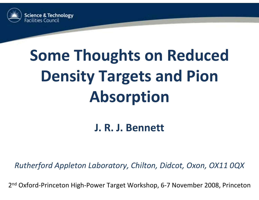

# **Some Thoughts on Reduced Density Targets and Pion Absorption**

**J. R. J. Bennett**

*Rutherford Appleton Laboratory, Chilton, Didcot, Oxon, OX11 0QX*

2<sup>nd</sup> Oxford-Princeton High-Power Target Workshop, 6-7 November 2008, Princeton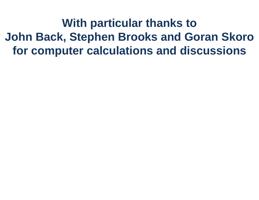**With particular thanks to John Back, Stephen Brooks and Goran Skoro for computer calculations and discussions**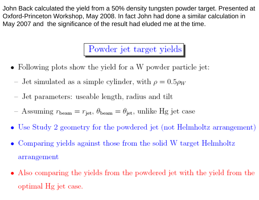John Back calculated the yield from a 50% density tungsten powder target. Presented at Oxford-Princeton Workshop, May 2008. In fact John had done a similar calculation in May 2007 and the significance of the result had eluded me at the time.

Powder jet target yields

- Following plots show the yield for a W powder particle jet:
	- Jet simulated as a simple cylinder, with  $\rho = 0.5\rho_W$
	- Jet parameters: useable length, radius and tilt
	- Assuming  $r_{\text{beam}} = r_{\text{jet}}$ ,  $\theta_{\text{beam}} = \theta_{\text{jet}}$ , unlike Hg jet case
- Use Study 2 geometry for the powdered jet (not Helmholtz arrangement)
- Comparing yields against those from the solid W target Helmholtz arrangement
- Also comparing the yields from the powdered jet with the yield from the optimal Hg jet case.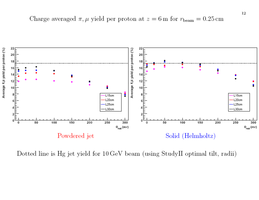

Dotted line is Hg jet yield for 10 GeV beam (using StudyII optimal tilt, radii)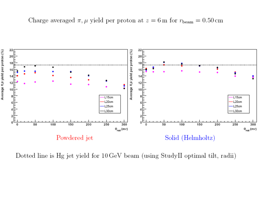

Dotted line is Hg jet yield for 10 GeV beam (using StudyII optimal tilt, radii)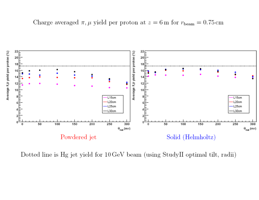Charge averaged  $\pi$ ,  $\mu$  yield per proton at  $z = 6$  m for  $r_{\text{beam}} = 0.75$  cm



Dotted line is Hg jet yield for 10 GeV beam (using StudyII optimal tilt, radii)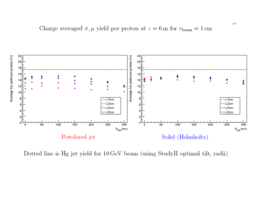Charge averaged  $\pi$ ,  $\mu$  yield per proton at  $z = 6$  m for  $r_{\text{beam}} = 1$  cm



Dotted line is Hg jet yield for 10 GeV beam (using StudyII optimal tilt, radii)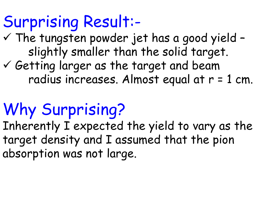### Surprising Result:-

- $\checkmark$  The tungsten powder jet has a good yield slightly smaller than the solid target.
- $\checkmark$  Getting larger as the target and beam radius increases. Almost equal at r = 1 cm.

## Why Surprising?

Inherently I expected the yield to vary as the target density and I assumed that the pion absorption was not large.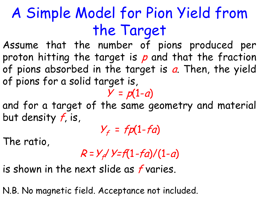### A Simple Model for Pion Yield from the Target

Assume that the number of pions produced per proton hitting the target is p and that the fraction of pions absorbed in the target is a. Then, the yield of pions for a solid target is,

 $Y = p(1-a)$ and for a target of the same geometry and material but density f, is,

 $Y_f = fp(1-fa)$ 

The ratio,

 $R = Y_f / Y = f(1-fa)/(1-a)$ 

is shown in the next slide as f varies.

N.B. No magnetic field. Acceptance not included.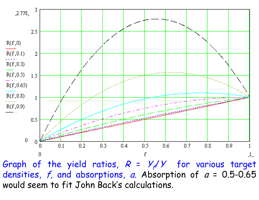

Graph of the yield ratios,  $R = Y_f/Y$  for various target densities,  $f$ , and absorptions, *a*. Absorption of *a* = 0.5-0.65 would seem to fit John Back's calculations.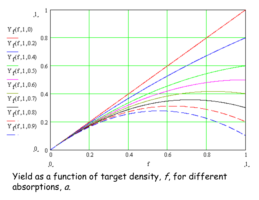

Yield as a function of target density, f, for different absorptions, *a*.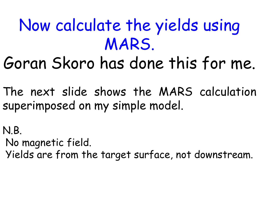## Now calculate the yields using MARS.

# Goran Skoro has done this for me.

The next slide shows the MARS calculation superimposed on my simple model.

N.B.

No magnetic field.

Yields are from the target surface, not downstream.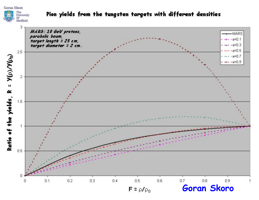### **Goran Skoro**  $\begin{array}{l} \text{The}\\ \text{University}\\ \text{Of}\\ \text{Sheffield}. \end{array}$

#### Pion yields from the tungsten targets with different densities

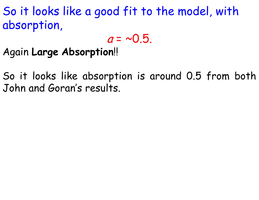So it looks like a good fit to the model, with absorption,

 $a = -0.5$ .

Again **Large Absorption**!!

So it looks like absorption is around 0.5 from both John and Goran's results.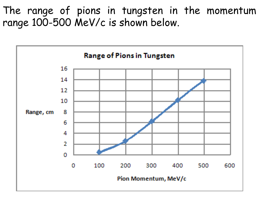The range of pions in tungsten in the momentum range 100-500 MeV/c is shown below.

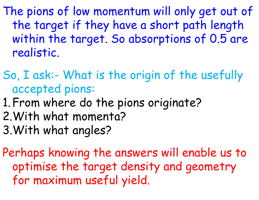The pions of low momentum will only get out of the target if they have a short path length within the target. So absorptions of 0.5 are realistic.

- So, I ask:- What is the origin of the usefully accepted pions:
- 1.From where do the pions originate? 2.With what momenta? 3.With what angles?

Perhaps knowing the answers will enable us to optimise the target density and geometry for maximum useful yield.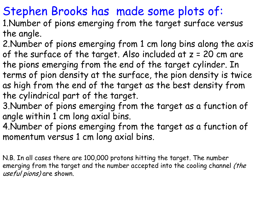### Stephen Brooks has made some plots of:

- 1.Number of pions emerging from the target surface versus the angle.
- 2.Number of pions emerging from 1 cm long bins along the axis of the surface of the target. Also included at  $z = 20$  cm are the pions emerging from the end of the target cylinder. In terms of pion density at the surface, the pion density is twice as high from the end of the target as the best density from the cylindrical part of the target.
- 3.Number of pions emerging from the target as a function of angle within 1 cm long axial bins.
- 4.Number of pions emerging from the target as a function of momentum versus 1 cm long axial bins.

N.B. In all cases there are 100,000 protons hitting the target. The number emerging from the target and the number accepted into the cooling channel (the useful pions) are shown.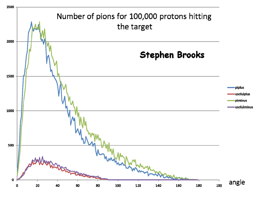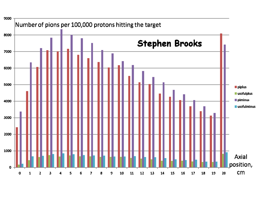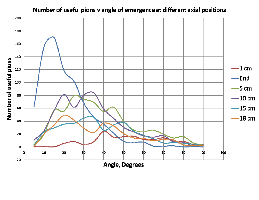#### Number of useful pions v angle of emergence at different axial positions

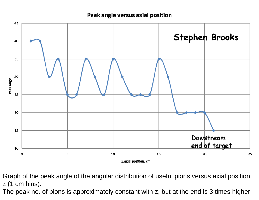#### Peak angle versus axial position



Graph of the peak angle of the angular distribution of useful pions versus axial position, z (1 cm bins).

The peak no. of pions is approximately constant with z, but at the end is 3 times higher.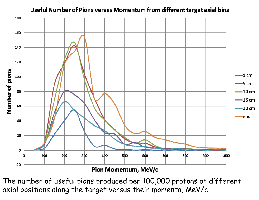

#### Useful Number of Pions versus Momentum from different target axial bins

Pion Momentum, MeV/c

The number of useful pions produced per 100,000 protons at different axial positions along the target versus their momenta, MeV/c.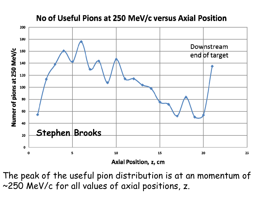### No of Useful Pions at 250 MeV/c versus Axial Position



The peak of the useful pion distribution is at an momentum of ~250 MeV/c for all values of axial positions, z.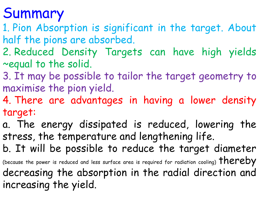### Summary

- 1. Pion Absorption is significant in the target. About half the pions are absorbed.
- 2. Reduced Density Targets can have high yields ~equal to the solid.
- 3. It may be possible to tailor the target geometry to maximise the pion yield.
- 4. There are advantages in having a lower density target:
- a. The energy dissipated is reduced, lowering the stress, the temperature and lengthening life.
- b. It will be possible to reduce the target diameter (because the power is reduced and less surface area is required for radiation cooling)  $therefore$ decreasing the absorption in the radial direction and increasing the yield.